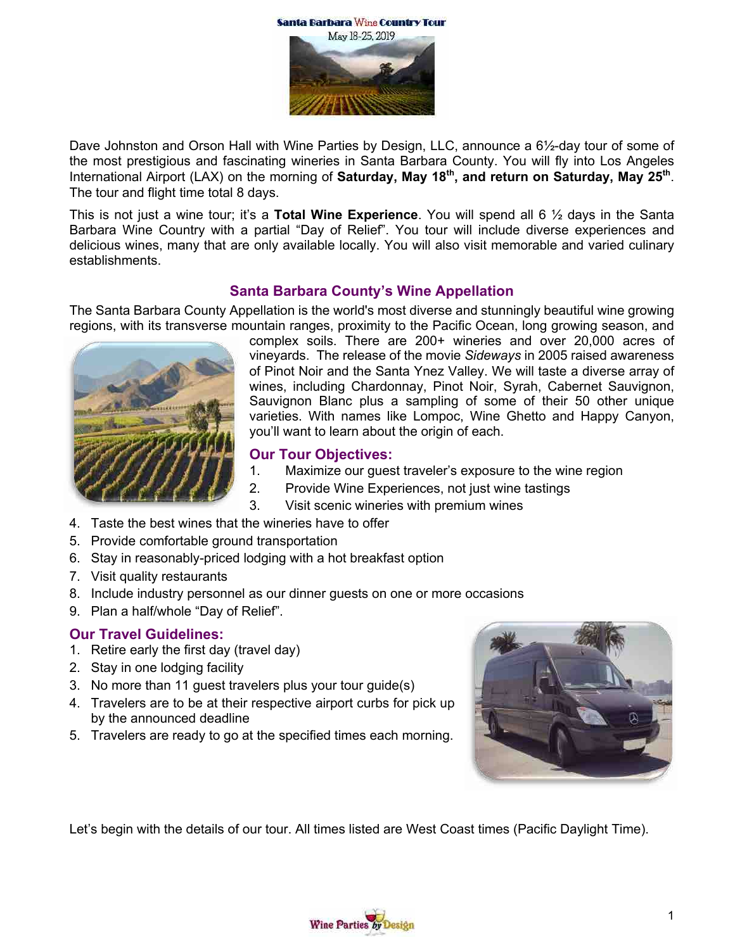

Dave Johnston and Orson Hall with Wine Parties by Design, LLC, announce a 6½-day tour of some of the most prestigious and fascinating wineries in Santa Barbara County. You will fly into Los Angeles International Airport (LAX) on the morning of **Saturday, May 18th, and return on Saturday, May 25th**. The tour and flight time total 8 days.

This is not just a wine tour; it's a **Total Wine Experience**. You will spend all 6 ½ days in the Santa Barbara Wine Country with a partial "Day of Relief". You tour will include diverse experiences and delicious wines, many that are only available locally. You will also visit memorable and varied culinary establishments.

# **Santa Barbara County's Wine Appellation**

The Santa Barbara County Appellation is the world's most diverse and stunningly beautiful wine growing regions, with its transverse mountain ranges, proximity to the Pacific Ocean, long growing season, and



complex soils. There are 200+ wineries and over 20,000 acres of vineyards. The release of the movie *Sideways* in 2005 raised awareness of Pinot Noir and the Santa Ynez Valley. We will taste a diverse array of wines, including Chardonnay, Pinot Noir, Syrah, Cabernet Sauvignon, Sauvignon Blanc plus a sampling of some of their 50 other unique varieties. With names like Lompoc, Wine Ghetto and Happy Canyon, you'll want to learn about the origin of each.

#### **Our Tour Objectives:**

- 1. Maximize our guest traveler's exposure to the wine region
- 2. Provide Wine Experiences, not just wine tastings
- 3. Visit scenic wineries with premium wines
- 4. Taste the best wines that the wineries have to offer
- 5. Provide comfortable ground transportation
- 6. Stay in reasonably-priced lodging with a hot breakfast option
- 7. Visit quality restaurants
- 8. Include industry personnel as our dinner guests on one or more occasions
- 9. Plan a half/whole "Day of Relief".

#### **Our Travel Guidelines:**

- 1. Retire early the first day (travel day)
- 2. Stay in one lodging facility
- 3. No more than 11 guest travelers plus your tour guide(s)
- 4. Travelers are to be at their respective airport curbs for pick up by the announced deadline
- 5. Travelers are ready to go at the specified times each morning.



Let's begin with the details of our tour. All times listed are West Coast times (Pacific Daylight Time).

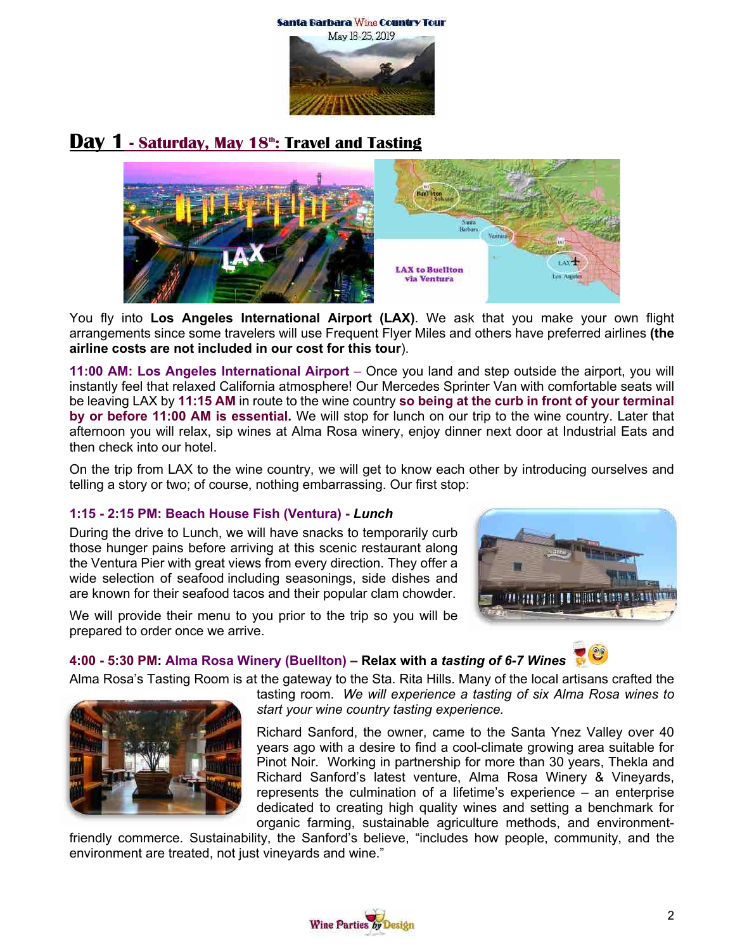Santa Barbara Wine Country Tour



# **Day 1 - Saturday, May 18th: Travel and Tasting**



You fly into **Los Angeles International Airport (LAX)**. We ask that you make your own flight arrangements since some travelers will use Frequent Flyer Miles and others have preferred airlines **(the airline costs are not included in our cost for this tour**).

**11:00 AM: Los Angeles International Airport** – Once you land and step outside the airport, you will instantly feel that relaxed California atmosphere! Our Mercedes Sprinter Van with comfortable seats will be leaving LAX by **11:15 AM** in route to the wine country **so being at the curb in front of your terminal by or before 11:00 AM is essential.** We will stop for lunch on our trip to the wine country. Later that afternoon you will relax, sip wines at Alma Rosa winery, enjoy dinner next door at Industrial Eats and then check into our hotel.

On the trip from LAX to the wine country, we will get to know each other by introducing ourselves and telling a story or two; of course, nothing embarrassing. Our first stop:

#### **1:15 - 2:15 PM: Beach House Fish (Ventura) -** *Lunch*

During the drive to Lunch, we will have snacks to temporarily curb those hunger pains before arriving at this scenic restaurant along the Ventura Pier with great views from every direction. They offer a wide selection of seafood including seasonings, side dishes and are known for their seafood tacos and their popular clam chowder.



We will provide their menu to you prior to the trip so you will be prepared to order once we arrive.

#### **4:00 - 5:30 PM: Alma Rosa Winery (Buellton) – Relax with a** *tasting of 6-7 Wines*

Alma Rosa's Tasting Room is at the gateway to the Sta. Rita Hills. Many of the local artisans crafted the



tasting room. *We will experience a tasting of six Alma Rosa wines to start your wine country tasting experience.*

Richard Sanford, the owner, came to the Santa Ynez Valley over 40 years ago with a desire to find a cool-climate growing area suitable for Pinot Noir. Working in partnership for more than 30 years, Thekla and Richard Sanford's latest venture, Alma Rosa Winery & Vineyards, represents the culmination of a lifetime's experience – an enterprise dedicated to creating high quality wines and setting a benchmark for organic farming, sustainable agriculture methods, and environment-

friendly commerce. Sustainability, the Sanford's believe, "includes how people, community, and the environment are treated, not just vineyards and wine."

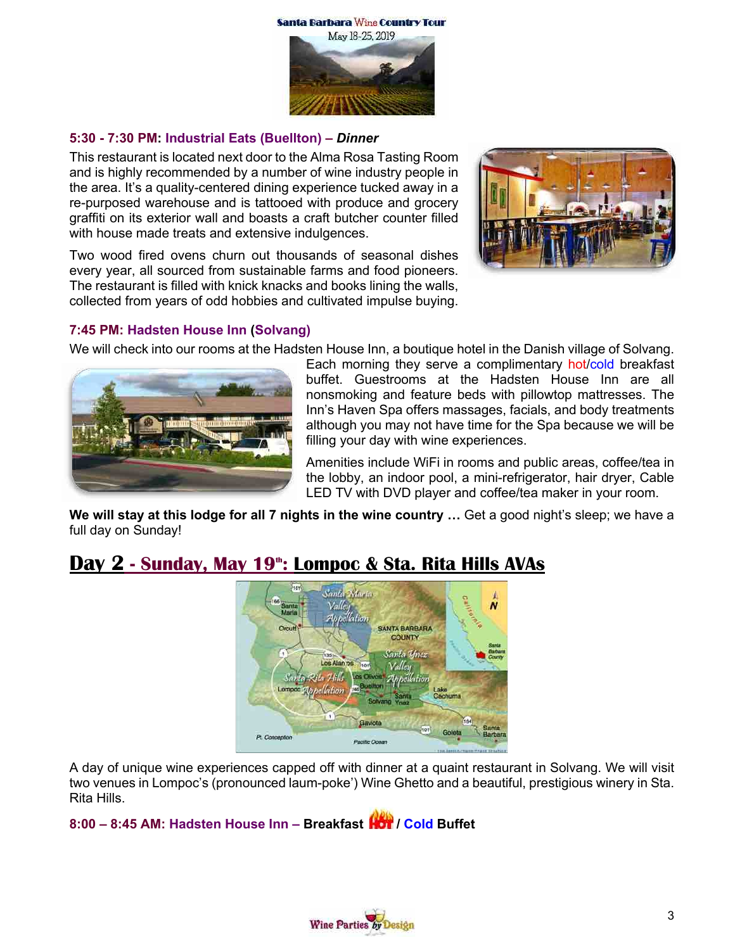

#### **5:30 - 7:30 PM: Industrial Eats (Buellton) –** *Dinner*

This restaurant is located next door to the Alma Rosa Tasting Room and is highly recommended by a number of wine industry people in the area. It's a quality-centered dining experience tucked away in a re-purposed warehouse and is tattooed with produce and grocery graffiti on its exterior wall and boasts a craft butcher counter filled with house made treats and extensive indulgences.

Two wood fired ovens churn out thousands of seasonal dishes every year, all sourced from sustainable farms and food pioneers. The restaurant is filled with knick knacks and books lining the walls, collected from years of odd hobbies and cultivated impulse buying.



#### **7:45 PM: Hadsten House Inn (Solvang)**

We will check into our rooms at the Hadsten House Inn, a boutique hotel in the Danish village of Solvang.



Each morning they serve a complimentary hot/cold breakfast buffet. Guestrooms at the Hadsten House Inn are all nonsmoking and feature beds with pillowtop mattresses. The Inn's Haven Spa offers massages, facials, and body treatments although you may not have time for the Spa because we will be filling your day with wine experiences.

Amenities include WiFi in rooms and public areas, coffee/tea in the lobby, an indoor pool, a mini-refrigerator, hair dryer, Cable LED TV with DVD player and coffee/tea maker in your room.

**We will stay at this lodge for all 7 nights in the wine country …** Get a good night's sleep; we have a full day on Sunday!

# **Day 2 - Sunday, May 19th: Lompoc & Sta. Rita Hills AVAs**



A day of unique wine experiences capped off with dinner at a quaint restaurant in Solvang. We will visit two venues in Lompoc's (pronounced laum-poke') Wine Ghetto and a beautiful, prestigious winery in Sta. Rita Hills.

# **8:00 – 8:45 AM: Hadsten House Inn – Breakfast / Cold Buffet**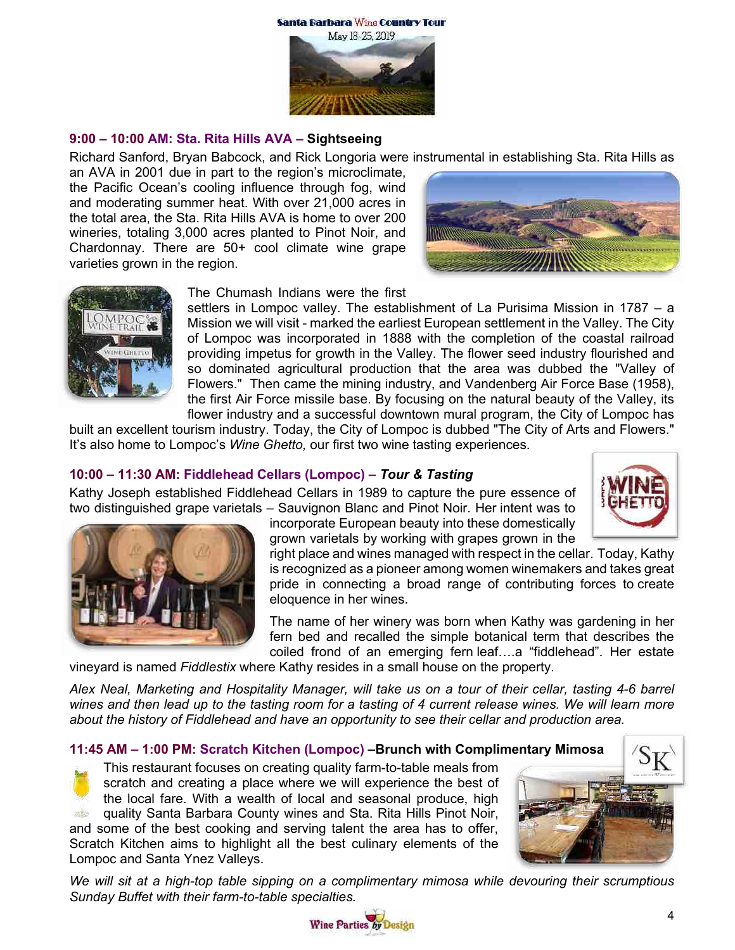

#### **9:00 – 10:00 AM: Sta. Rita Hills AVA – Sightseeing**

Richard Sanford, Bryan Babcock, and Rick Longoria were instrumental in establishing Sta. Rita Hills as

an AVA in 2001 due in part to the region's microclimate, the Pacific Ocean's cooling influence through fog, wind and moderating summer heat. With over 21,000 acres in the total area, the Sta. Rita Hills AVA is home to over 200 wineries, totaling 3,000 acres planted to Pinot Noir, and Chardonnay. There are 50+ cool climate wine grape varieties grown in the region.





The Chumash Indians were the first

settlers in Lompoc valley. The establishment of La Purisima Mission in 1787 – a Mission we will visit - marked the earliest European settlement in the Valley. The City of Lompoc was incorporated in 1888 with the completion of the coastal railroad providing impetus for growth in the Valley. The flower seed industry flourished and so dominated agricultural production that the area was dubbed the "Valley of Flowers." Then came the mining industry, and Vandenberg Air Force Base (1958), the first Air Force missile base. By focusing on the natural beauty of the Valley, its flower industry and a successful downtown mural program, the City of Lompoc has

built an excellent tourism industry. Today, the City of Lompoc is dubbed "The City of Arts and Flowers." It's also home to Lompoc's *Wine Ghetto,* our first two wine tasting experiences.

### **10:00 – 11:30 AM: Fiddlehead Cellars (Lompoc) –** *Tour & Tasting*

Kathy Joseph established Fiddlehead Cellars in 1989 to capture the pure essence of two distinguished grape varietals – Sauvignon Blanc and Pinot Noir. Her intent was to



incorporate European beauty into these domestically grown varietals by working with grapes grown in the



right place and wines managed with respect in the cellar. Today, Kathy is recognized as a pioneer among women winemakers and takes great pride in connecting a broad range of contributing forces to create eloquence in her wines.

The name of her winery was born when Kathy was gardening in her fern bed and recalled the simple botanical term that describes the coiled frond of an emerging fern leaf….a "fiddlehead". Her estate

vineyard is named *Fiddlestix* where Kathy resides in a small house on the property.

*Alex Neal, Marketing and Hospitality Manager, will take us on a tour of their cellar, tasting 4-6 barrel wines and then lead up to the tasting room for a tasting of 4 current release wines. We will learn more about the history of Fiddlehead and have an opportunity to see their cellar and production area.*

#### **11:45 AM – 1:00 PM: Scratch Kitchen (Lompoc) –Brunch with Complimentary Mimosa**



This restaurant focuses on creating quality farm-to-table meals from scratch and creating a place where we will experience the best of the local fare. With a wealth of local and seasonal produce, high quality Santa Barbara County wines and Sta. Rita Hills Pinot Noir,

and some of the best cooking and serving talent the area has to offer, Scratch Kitchen aims to highlight all the best culinary elements of the Lompoc and Santa Ynez Valleys.



*We will sit at a high-top table sipping on a complimentary mimosa while devouring their scrumptious Sunday Buffet with their farm-to-table specialties.*

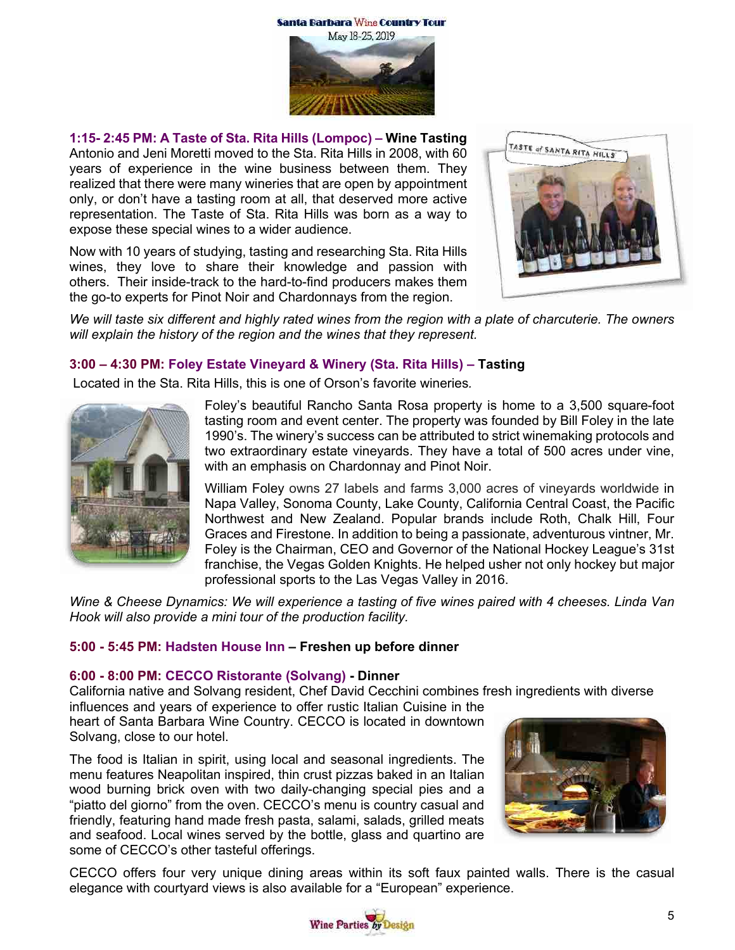

**1:15- 2:45 PM: A Taste of Sta. Rita Hills (Lompoc) – Wine Tasting** Antonio and Jeni Moretti moved to the Sta. Rita Hills in 2008, with 60 years of experience in the wine business between them. They realized that there were many wineries that are open by appointment only, or don't have a tasting room at all, that deserved more active representation. The Taste of Sta. Rita Hills was born as a way to expose these special wines to a wider audience.

Now with 10 years of studying, tasting and researching Sta. Rita Hills wines, they love to share their knowledge and passion with others. Their inside-track to the hard-to-find producers makes them the go-to experts for Pinot Noir and Chardonnays from the region.



We will taste six different and highly rated wines from the region with a plate of charcuterie. The owners *will explain the history of the region and the wines that they represent.*

# **3:00 – 4:30 PM: Foley Estate Vineyard & Winery (Sta. Rita Hills) – Tasting**

Located in the Sta. Rita Hills, this is one of Orson's favorite wineries*.*



Foley's beautiful Rancho Santa Rosa property is home to a 3,500 square-foot tasting room and event center. The property was founded by Bill Foley in the late 1990's. The winery's success can be attributed to strict winemaking protocols and two extraordinary estate vineyards. They have a total of 500 acres under vine, with an emphasis on Chardonnay and Pinot Noir.

William Foley owns 27 labels and farms 3,000 acres of vineyards worldwide in Napa Valley, Sonoma County, Lake County, California Central Coast, the Pacific Northwest and New Zealand. Popular brands include Roth, Chalk Hill, Four Graces and Firestone. In addition to being a passionate, adventurous vintner, Mr. Foley is the Chairman, CEO and Governor of the National Hockey League's 31st franchise, the Vegas Golden Knights. He helped usher not only hockey but major professional sports to the Las Vegas Valley in 2016.

*Wine & Cheese Dynamics: We will experience a tasting of five wines paired with 4 cheeses. Linda Van Hook will also provide a mini tour of the production facility.*

# **5:00 - 5:45 PM: Hadsten House Inn – Freshen up before dinner**

#### **6:00 - 8:00 PM: CECCO Ristorante (Solvang) - Dinner**

California native and Solvang resident, Chef David Cecchini combines fresh ingredients with diverse influences and years of experience to offer rustic Italian Cuisine in the

heart of Santa Barbara Wine Country. CECCO is located in downtown Solvang, close to our hotel.

The food is Italian in spirit, using local and seasonal ingredients. The menu features Neapolitan inspired, thin crust pizzas baked in an Italian wood burning brick oven with two daily-changing special pies and a "piatto del giorno" from the oven. CECCO's menu is country casual and friendly, featuring hand made fresh pasta, salami, salads, grilled meats and seafood. Local wines served by the bottle, glass and quartino are some of CECCO's other tasteful offerings.



CECCO offers four very unique dining areas within its soft faux painted walls. There is the casual elegance with courtyard views is also available for a "European" experience.

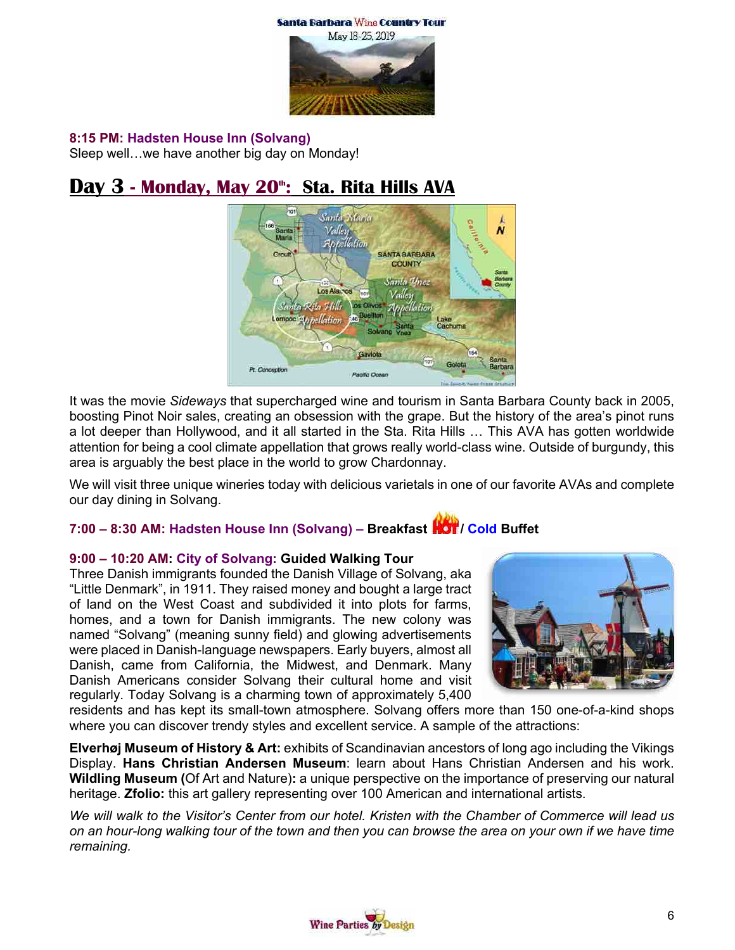



#### **8:15 PM: Hadsten House Inn (Solvang)**

Sleep well…we have another big day on Monday!

# **Day 3 - Monday, May 20th: Sta. Rita Hills AVA**



It was the movie *Sideways* that supercharged wine and tourism in Santa Barbara County back in 2005, boosting Pinot Noir sales, creating an obsession with the grape. But the history of the area's pinot runs a lot deeper than Hollywood, and it all started in the Sta. Rita Hills … This AVA has gotten worldwide attention for being a cool climate appellation that grows really world-class wine. Outside of burgundy, this area is arguably the best place in the world to grow Chardonnay.

We will visit three unique wineries today with delicious varietals in one of our favorite AVAs and complete our day dining in Solvang.

# **7:00 – 8:30 AM: Hadsten House Inn (Solvang) – Breakfast / Cold Buffet**

#### **9:00 – 10:20 AM: City of Solvang: Guided Walking Tour**

Three Danish immigrants founded the Danish Village of Solvang, aka "Little Denmark", in 1911. They raised money and bought a large tract of land on the West Coast and subdivided it into plots for farms, homes, and a town for Danish immigrants. The new colony was named "Solvang" (meaning sunny field) and glowing advertisements were placed in Danish-language newspapers. Early buyers, almost all Danish, came from California, the Midwest, and Denmark. Many Danish Americans consider Solvang their cultural home and visit regularly. Today Solvang is a charming town of approximately 5,400



residents and has kept its small-town atmosphere. Solvang offers more than 150 one-of-a-kind shops where you can discover trendy styles and excellent service. A sample of the attractions:

**Elverhøj Museum of History & Art:** exhibits of Scandinavian ancestors of long ago including the Vikings Display. **Hans Christian Andersen Museum**: learn about Hans Christian Andersen and his work. **Wildling Museum (**Of Art and Nature)**:** a unique perspective on the importance of preserving our natural heritage. **Zfolio:** this art gallery representing over 100 American and international artists.

*We will walk to the Visitor's Center from our hotel. Kristen with the Chamber of Commerce will lead us on an hour-long walking tour of the town and then you can browse the area on your own if we have time remaining.*

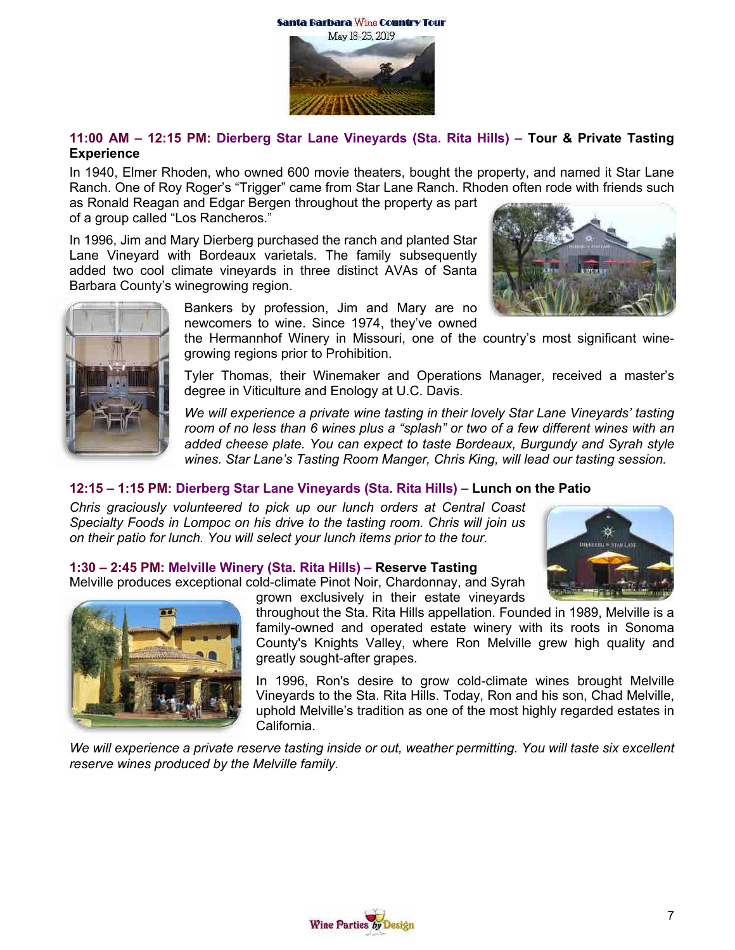



**11:00 AM – 12:15 PM: Dierberg Star Lane Vineyards (Sta. Rita Hills) – Tour & Private Tasting Experience**

In 1940, Elmer Rhoden, who owned 600 movie theaters, bought the property, and named it Star Lane Ranch. One of Roy Roger's "Trigger" came from Star Lane Ranch. Rhoden often rode with friends such

as Ronald Reagan and Edgar Bergen throughout the property as part of a group called "Los Rancheros."

In 1996, Jim and Mary Dierberg purchased the ranch and planted Star Lane Vineyard with Bordeaux varietals. The family subsequently added two cool climate vineyards in three distinct AVAs of Santa Barbara County's winegrowing region.



Bankers by profession, Jim and Mary are no newcomers to wine. Since 1974, they've owned

the Hermannhof Winery in Missouri, one of the country's most significant winegrowing regions prior to Prohibition.

Tyler Thomas, their Winemaker and Operations Manager, received a master's degree in Viticulture and Enology at U.C. Davis.

*We will experience a private wine tasting in their lovely Star Lane Vineyards' tasting room of no less than 6 wines plus a "splash" or two of a few different wines with an added cheese plate. You can expect to taste Bordeaux, Burgundy and Syrah style wines. Star Lane's Tasting Room Manger, Chris King, will lead our tasting session.*

#### **12:15 – 1:15 PM: Dierberg Star Lane Vineyards (Sta. Rita Hills) – Lunch on the Patio**

*Chris graciously volunteered to pick up our lunch orders at Central Coast Specialty Foods in Lompoc on his drive to the tasting room. Chris will join us on their patio for lunch. You will select your lunch items prior to the tour.*

#### **1:30 – 2:45 PM: Melville Winery (Sta. Rita Hills) – Reserve Tasting**

Melville produces exceptional cold-climate Pinot Noir, Chardonnay, and Syrah



grown exclusively in their estate vineyards

throughout the Sta. Rita Hills appellation. Founded in 1989, Melville is a family-owned and operated estate winery with its roots in Sonoma County's Knights Valley, where Ron Melville grew high quality and greatly sought-after grapes.

In 1996, Ron's desire to grow cold-climate wines brought Melville Vineyards to the Sta. Rita Hills. Today, Ron and his son, Chad Melville, uphold Melville's tradition as one of the most highly regarded estates in California.

*We will experience a private reserve tasting inside or out, weather permitting. You will taste six excellent reserve wines produced by the Melville family.*



谥

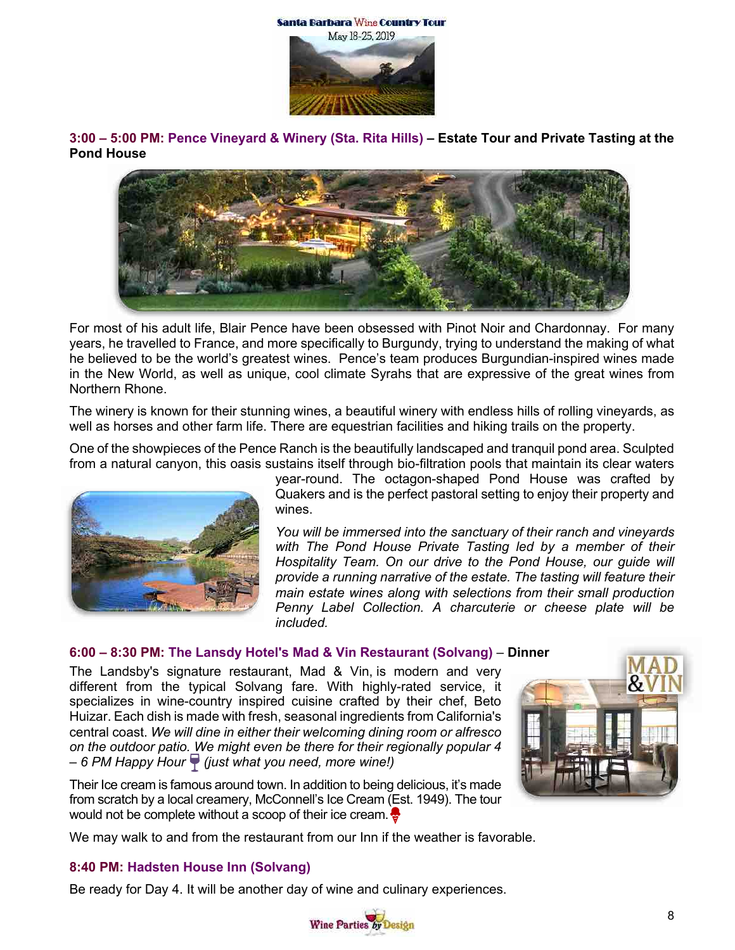



**3:00 – 5:00 PM: Pence Vineyard & Winery (Sta. Rita Hills) – Estate Tour and Private Tasting at the Pond House**



For most of his adult life, Blair Pence have been obsessed with Pinot Noir and Chardonnay. For many years, he travelled to France, and more specifically to Burgundy, trying to understand the making of what he believed to be the world's greatest wines. Pence's team produces Burgundian-inspired wines made in the New World, as well as unique, cool climate Syrahs that are expressive of the great wines from Northern Rhone.

The winery is known for their stunning wines, a beautiful winery with endless hills of rolling vineyards, as well as horses and other farm life. There are equestrian facilities and hiking trails on the property.

One of the showpieces of the Pence Ranch is the beautifully landscaped and tranquil pond area. Sculpted from a natural canyon, this oasis sustains itself through bio-filtration pools that maintain its clear waters



year-round. The octagon-shaped Pond House was crafted by Quakers and is the perfect pastoral setting to enjoy their property and wines.

*You will be immersed into the sanctuary of their ranch and vineyards with The Pond House Private Tasting led by a member of their Hospitality Team. On our drive to the Pond House, our guide will provide a running narrative of the estate. The tasting will feature their main estate wines along with selections from their small production Penny Label Collection. A charcuterie or cheese plate will be included.*

#### **6:00 – 8:30 PM: The Lansdy Hotel's Mad & Vin Restaurant (Solvang)** – **Dinner**

The Landsby's signature restaurant, Mad & Vin, is modern and very different from the typical Solvang fare. With highly-rated service, it specializes in wine-country inspired cuisine crafted by their chef, Beto Huizar. Each dish is made with fresh, seasonal ingredients from California's central coast. *We will dine in either their welcoming dining room or alfresco on the outdoor patio. We might even be there for their regionally popular 4 – 6 PM Happy Hour (just what you need, more wine!)* 



Their Ice cream is famous around town. In addition to being delicious, it's made from scratch by a local creamery, McConnell's Ice Cream (Est. 1949). The tour would not be complete without a scoop of their ice cream.

We may walk to and from the restaurant from our Inn if the weather is favorable.

#### **8:40 PM: Hadsten House Inn (Solvang)**

Be ready for Day 4. It will be another day of wine and culinary experiences.

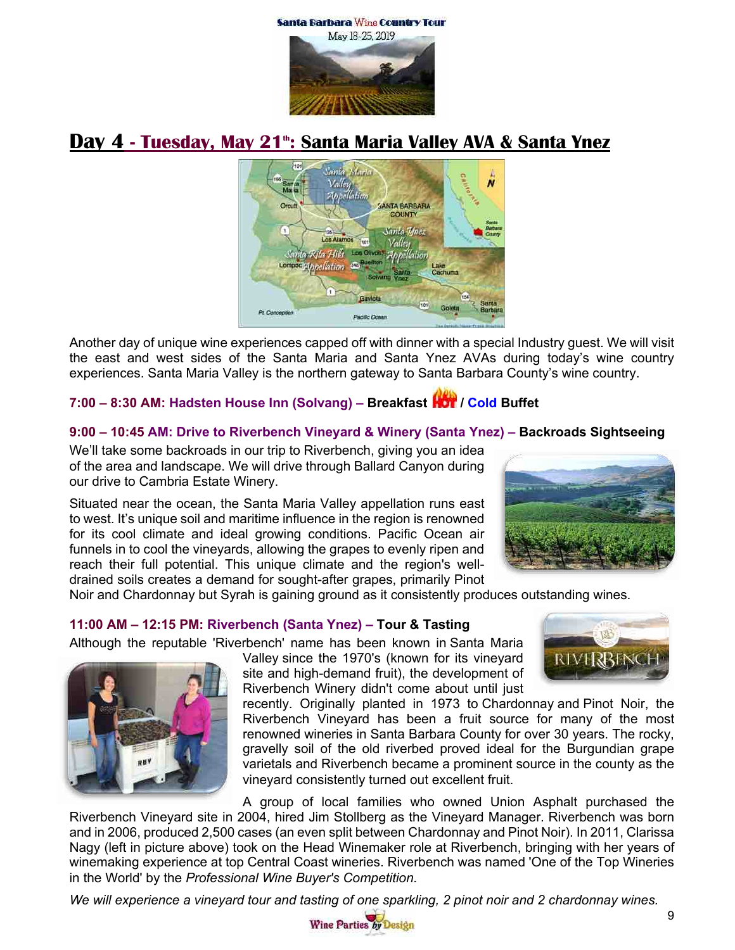Santa Barbara Wine Country Tour



# **Day 4 - Tuesday, May 21<sup>th</sup>: Santa Maria Valley AVA & Santa Ynez**



Another day of unique wine experiences capped off with dinner with a special Industry guest. We will visit the east and west sides of the Santa Maria and Santa Ynez AVAs during today's wine country experiences. Santa Maria Valley is the northern gateway to Santa Barbara County's wine country.

# **7:00 – 8:30 AM: Hadsten House Inn (Solvang) – Breakfast / Cold Buffet**

#### **9:00 – 10:45 AM: Drive to Riverbench Vineyard & Winery (Santa Ynez) – Backroads Sightseeing**

We'll take some backroads in our trip to Riverbench, giving you an idea of the area and landscape. We will drive through Ballard Canyon during our drive to Cambria Estate Winery.

Situated near the ocean, the Santa Maria Valley appellation runs east to west. It's unique soil and maritime influence in the region is renowned for its cool climate and ideal growing conditions. Pacific Ocean air funnels in to cool the vineyards, allowing the grapes to evenly ripen and reach their full potential. This unique climate and the region's welldrained soils creates a demand for sought-after grapes, primarily Pinot



RIVERBENCH

Noir and Chardonnay but Syrah is gaining ground as it consistently produces outstanding wines.

# **11:00 AM – 12:15 PM: Riverbench (Santa Ynez) – Tour & Tasting**

Although the reputable 'Riverbench' name has been known in Santa Maria

Valley since the 1970's (known for its vineyard site and high-demand fruit), the development of Riverbench Winery didn't come about until just



A group of local families who owned Union Asphalt purchased the Riverbench Vineyard site in 2004, hired Jim Stollberg as the Vineyard Manager. Riverbench was born and in 2006, produced 2,500 cases (an even split between Chardonnay and Pinot Noir). In 2011, Clarissa Nagy (left in picture above) took on the Head Winemaker role at Riverbench, bringing with her years of winemaking experience at top Central Coast wineries. Riverbench was named 'One of the Top Wineries in the World' by the *Professional Wine Buyer's Competition*.

*We will experience a vineyard tour and tasting of one sparkling, 2 pinot noir and 2 chardonnay wines.*



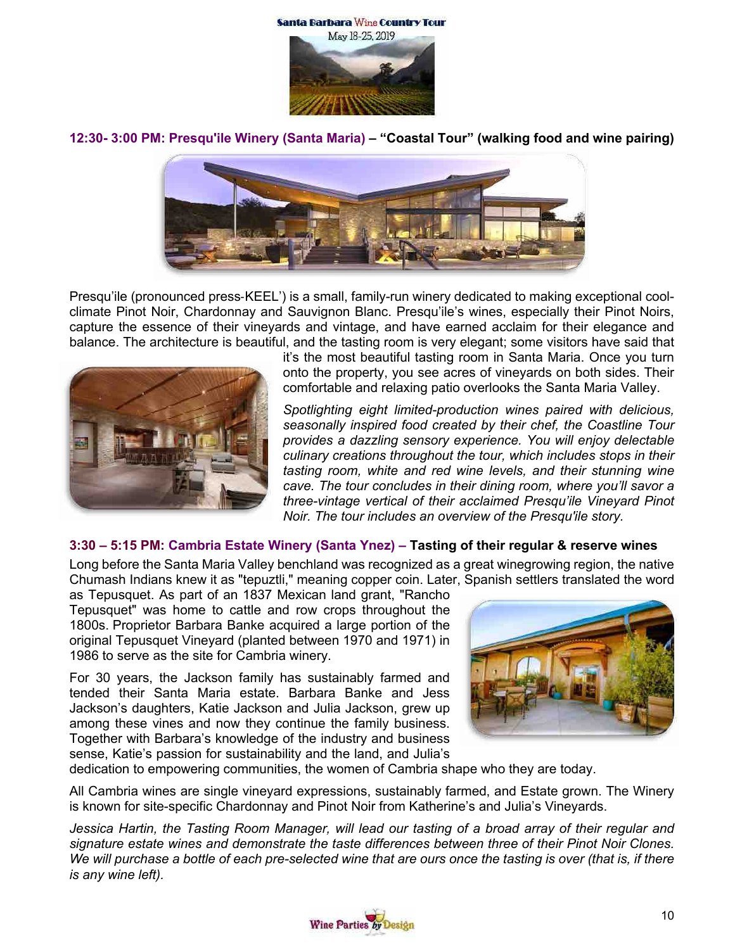

**12:30- 3:00 PM: Presqu'ile Winery (Santa Maria) – "Coastal Tour" (walking food and wine pairing)**



Presqu'ile (pronounced press-KEEL') is a small, family-run winery dedicated to making exceptional coolclimate Pinot Noir, Chardonnay and Sauvignon Blanc. Presqu'ile's wines, especially their Pinot Noirs, capture the essence of their vineyards and vintage, and have earned acclaim for their elegance and balance. The architecture is beautiful, and the tasting room is very elegant; some visitors have said that



it's the most beautiful tasting room in Santa Maria. Once you turn onto the property, you see acres of vineyards on both sides. Their comfortable and relaxing patio overlooks the Santa Maria Valley.

*Spotlighting eight limited-production wines paired with delicious, seasonally inspired food created by their chef, the Coastline Tour provides a dazzling sensory experience. You will enjoy delectable culinary creations throughout the tour, which includes stops in their tasting room, white and red wine levels, and their stunning wine cave. The tour concludes in their dining room, where you'll savor a three-vintage vertical of their acclaimed Presqu'ile Vineyard Pinot Noir. The tour includes an overview of the Presqu'ile story.*

#### **3:30 – 5:15 PM: Cambria Estate Winery (Santa Ynez) – Tasting of their regular & reserve wines**

Long before the Santa Maria Valley benchland was recognized as a great winegrowing region, the native Chumash Indians knew it as "tepuztli," meaning copper coin. Later, Spanish settlers translated the word

as Tepusquet. As part of an 1837 Mexican land grant, "Rancho Tepusquet" was home to cattle and row crops throughout the 1800s. Proprietor Barbara Banke acquired a large portion of the original Tepusquet Vineyard (planted between 1970 and 1971) in 1986 to serve as the site for Cambria winery.

For 30 years, the Jackson family has sustainably farmed and tended their Santa Maria estate. Barbara Banke and Jess Jackson's daughters, Katie Jackson and Julia Jackson, grew up among these vines and now they continue the family business. Together with Barbara's knowledge of the industry and business sense, Katie's passion for sustainability and the land, and Julia's



dedication to empowering communities, the women of Cambria shape who they are today.

All Cambria wines are single vineyard expressions, sustainably farmed, and Estate grown. The Winery is known for site-specific Chardonnay and Pinot Noir from Katherine's and Julia's Vineyards.

*Jessica Hartin, the Tasting Room Manager, will lead our tasting of a broad array of their regular and signature estate wines and demonstrate the taste differences between three of their Pinot Noir Clones. We will purchase a bottle of each pre-selected wine that are ours once the tasting is over (that is, if there is any wine left).*

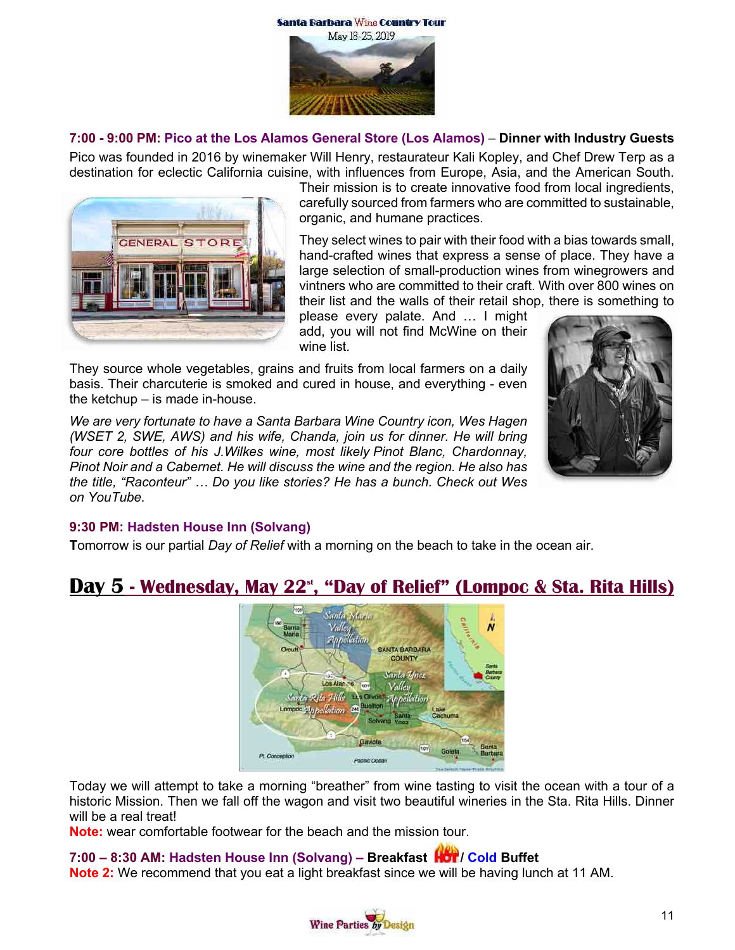



#### **7:00 - 9:00 PM: Pico at the Los Alamos General Store (Los Alamos)** – **Dinner with Industry Guests**

Pico was founded in 2016 by winemaker Will Henry, restaurateur Kali Kopley, and Chef Drew Terp as a destination for eclectic California cuisine, with influences from Europe, Asia, and the American South.



Their mission is to create innovative food from local ingredients, carefully sourced from farmers who are committed to sustainable, organic, and humane practices.

They select wines to pair with their food with a bias towards small, hand-crafted wines that express a sense of place. They have a large selection of small-production wines from winegrowers and vintners who are committed to their craft. With over 800 wines on their list and the walls of their retail shop, there is something to

please every palate. And … I might add, you will not find McWine on their wine list.

They source whole vegetables, grains and fruits from local farmers on a daily basis. Their charcuterie is smoked and cured in house, and everything - even the ketchup – is made in-house.

*We are very fortunate to have a Santa Barbara Wine Country icon, Wes Hagen (WSET 2, SWE, AWS) and his wife, Chanda, join us for dinner. He will bring four core bottles of his J.Wilkes wine, most likely Pinot Blanc, Chardonnay, Pinot Noir and a Cabernet. He will discuss the wine and the region. He also has the title, "Raconteur" … Do you like stories? He has a bunch. Check out Wes on YouTube.*



#### **9:30 PM: Hadsten House Inn (Solvang)**

**T**omorrow is our partial *Day of Relief* with a morning on the beach to take in the ocean air.

# **Day 5 - Wednesday, May 22st, "Day of Relief" (Lompoc & Sta. Rita Hills)**



Today we will attempt to take a morning "breather" from wine tasting to visit the ocean with a tour of a historic Mission. Then we fall off the wagon and visit two beautiful wineries in the Sta. Rita Hills. Dinner will be a real treat!

**Note:** wear comfortable footwear for the beach and the mission tour.

#### **7:00 – 8:30 AM: Hadsten House Inn (Solvang) – Breakfast / Cold Buffet**

**Note 2:** We recommend that you eat a light breakfast since we will be having lunch at 11 AM.

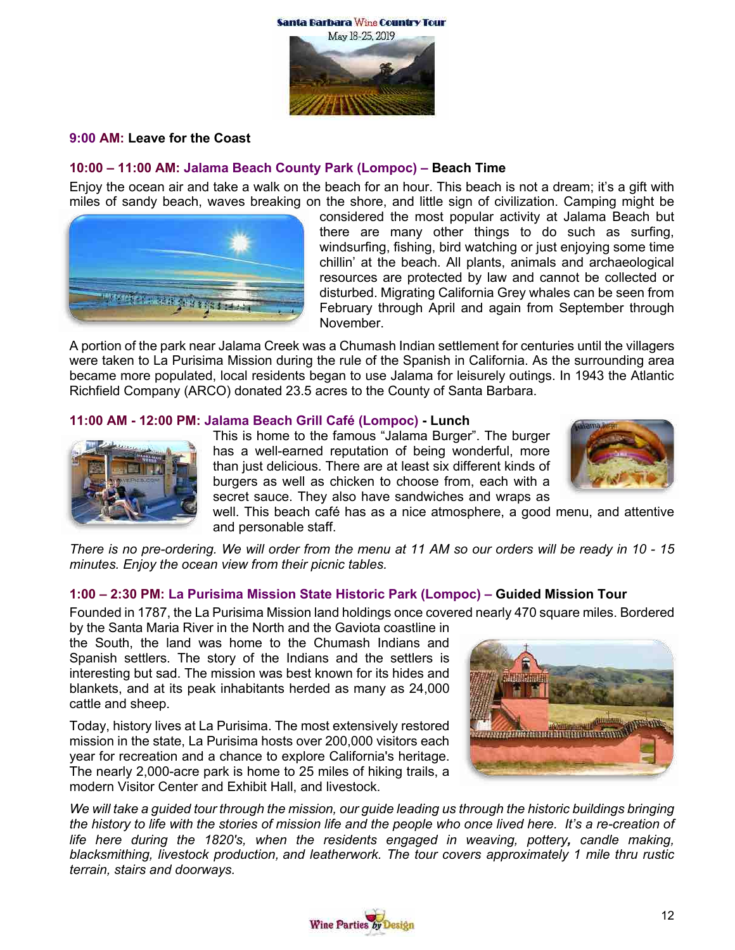

#### **9:00 AM: Leave for the Coast**

#### **10:00 – 11:00 AM: Jalama Beach County Park (Lompoc) – Beach Time**

Enjoy the ocean air and take a walk on the beach for an hour. This beach is not a dream; it's a gift with miles of sandy beach, waves breaking on the shore, and little sign of civilization. Camping might be



considered the most popular activity at Jalama Beach but there are many other things to do such as surfing, windsurfing, fishing, bird watching or just enjoying some time chillin' at the beach. All plants, animals and archaeological resources are protected by law and cannot be collected or disturbed. Migrating California Grey whales can be seen from February through April and again from September through November.

A portion of the park near Jalama Creek was a Chumash Indian settlement for centuries until the villagers were taken to La Purisima Mission during the rule of the Spanish in California. As the surrounding area became more populated, local residents began to use Jalama for leisurely outings. In 1943 the Atlantic Richfield Company (ARCO) donated 23.5 acres to the County of Santa Barbara.

#### **11:00 AM - 12:00 PM: Jalama Beach Grill Café (Lompoc) - Lunch**



This is home to the famous "Jalama Burger". The burger has a well-earned reputation of being wonderful, more than just delicious. There are at least six different kinds of burgers as well as chicken to choose from, each with a secret sauce. They also have sandwiches and wraps as



well. This beach café has as a nice atmosphere, a good menu, and attentive and personable staff.

*There is no pre-ordering. We will order from the menu at 11 AM so our orders will be ready in 10 - 15 minutes. Enjoy the ocean view from their picnic tables.*

#### **1:00 – 2:30 PM: La Purisima Mission State Historic Park (Lompoc) – Guided Mission Tour**

Founded in 1787, the La Purisima Mission land holdings once covered nearly 470 square miles. Bordered by the Santa Maria River in the North and the Gaviota coastline in

the South, the land was home to the Chumash Indians and Spanish settlers. The story of the Indians and the settlers is interesting but sad. The mission was best known for its hides and blankets, and at its peak inhabitants herded as many as 24,000 cattle and sheep.

Today, history lives at La Purisima. The most extensively restored mission in the state, La Purisima hosts over 200,000 visitors each year for recreation and a chance to explore California's heritage. The nearly 2,000-acre park is home to 25 miles of hiking trails, a modern Visitor Center and Exhibit Hall, and livestock.



*We will take a guided tour through the mission, our guide leading us through the historic buildings bringing the history to life with the stories of mission life and the people who once lived here. It's a re-creation of life here during the 1820's, when the residents engaged in weaving, pottery, candle making, blacksmithing, livestock production, and leatherwork. The tour covers approximately 1 mile thru rustic terrain, stairs and doorways.*

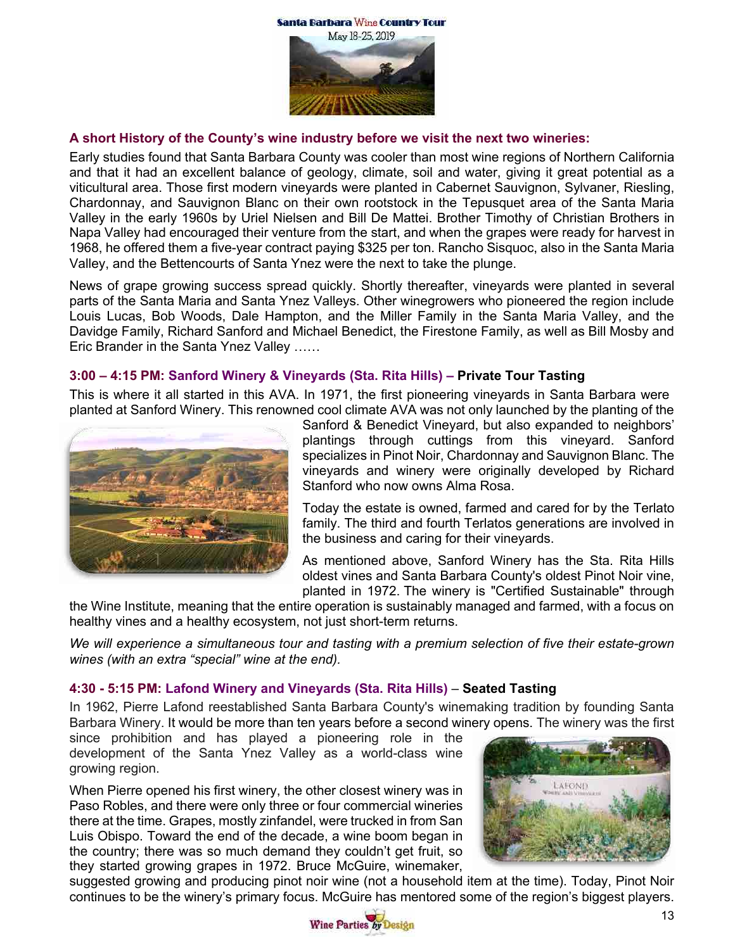

#### **A short History of the County's wine industry before we visit the next two wineries:**

Early studies found that Santa Barbara County was cooler than most wine regions of Northern California and that it had an excellent balance of geology, climate, soil and water, giving it great potential as a viticultural area. Those first modern vineyards were planted in Cabernet Sauvignon, Sylvaner, Riesling, Chardonnay, and Sauvignon Blanc on their own rootstock in the Tepusquet area of the Santa Maria Valley in the early 1960s by Uriel Nielsen and Bill De Mattei. Brother Timothy of Christian Brothers in Napa Valley had encouraged their venture from the start, and when the grapes were ready for harvest in 1968, he offered them a five-year contract paying \$325 per ton. Rancho Sisquoc, also in the Santa Maria Valley, and the Bettencourts of Santa Ynez were the next to take the plunge.

News of grape growing success spread quickly. Shortly thereafter, vineyards were planted in several parts of the Santa Maria and Santa Ynez Valleys. Other winegrowers who pioneered the region include Louis Lucas, Bob Woods, Dale Hampton, and the Miller Family in the Santa Maria Valley, and the Davidge Family, Richard Sanford and Michael Benedict, the Firestone Family, as well as Bill Mosby and Eric Brander in the Santa Ynez Valley ……

#### **3:00 – 4:15 PM: Sanford Winery & Vineyards (Sta. Rita Hills) – Private Tour Tasting**

This is where it all started in this AVA. In 1971, the first pioneering vineyards in Santa Barbara were planted at Sanford Winery. This renowned cool climate AVA was not only launched by the planting of the



Sanford & Benedict Vineyard, but also expanded to neighbors' plantings through cuttings from this vineyard. Sanford specializes in Pinot Noir, Chardonnay and Sauvignon Blanc. The vineyards and winery were originally developed by Richard Stanford who now owns Alma Rosa.

Today the estate is owned, farmed and cared for by the Terlato family. The third and fourth Terlatos generations are involved in the business and caring for their vineyards.

As mentioned above, Sanford Winery has the Sta. Rita Hills oldest vines and Santa Barbara County's oldest Pinot Noir vine, planted in 1972. The winery is "Certified Sustainable" through

the Wine Institute, meaning that the entire operation is sustainably managed and farmed, with a focus on healthy vines and a healthy ecosystem, not just short-term returns.

*We will experience a simultaneous tour and tasting with a premium selection of five their estate-grown wines (with an extra "special" wine at the end).* 

#### **4:30 - 5:15 PM: Lafond Winery and Vineyards (Sta. Rita Hills)** – **Seated Tasting**

In 1962, Pierre Lafond reestablished Santa Barbara County's winemaking tradition by founding Santa Barbara Winery. It would be more than ten years before a second winery opens. The winery was the first

since prohibition and has played a pioneering role in the development of the Santa Ynez Valley as a world-class wine growing region.

When Pierre opened his first winery, the other closest winery was in Paso Robles, and there were only three or four commercial wineries there at the time. Grapes, mostly zinfandel, were trucked in from San Luis Obispo. Toward the end of the decade, a wine boom began in the country; there was so much demand they couldn't get fruit, so they started growing grapes in 1972. Bruce McGuire, winemaker,



suggested growing and producing pinot noir wine (not a household item at the time). Today, Pinot Noir continues to be the winery's primary focus. McGuire has mentored some of the region's biggest players.

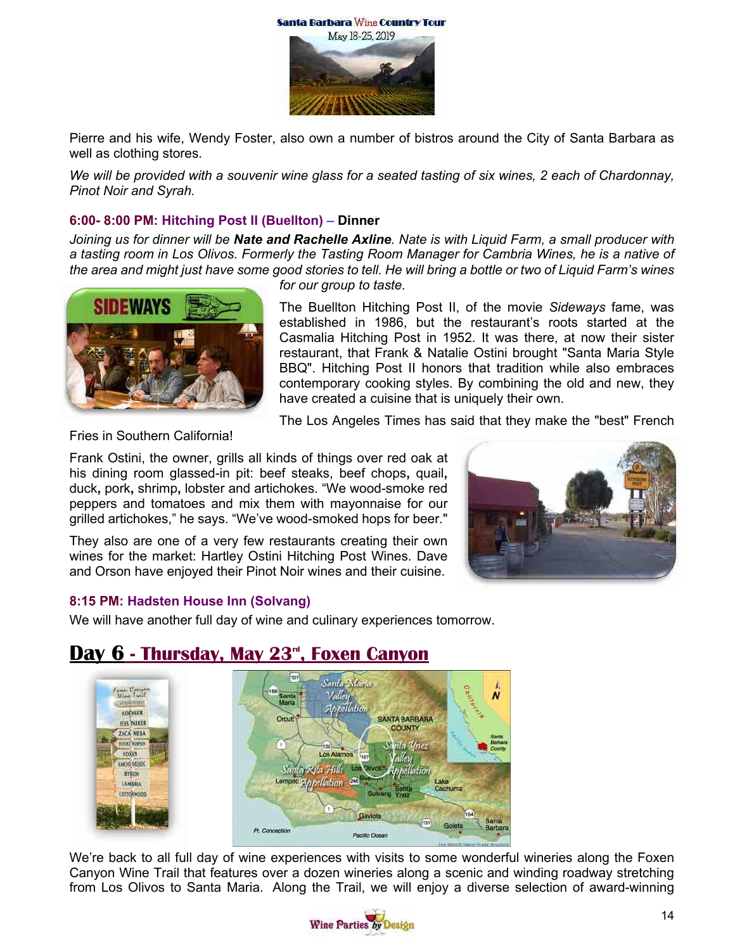Santa Barbara Wine Country Tour



Pierre and his wife, Wendy Foster, also own a number of bistros around the City of Santa Barbara as well as clothing stores.

*We will be provided with a souvenir wine glass for a seated tasting of six wines, 2 each of Chardonnay, Pinot Noir and Syrah.*

#### **6:00- 8:00 PM: Hitching Post II (Buellton)** – **Dinner**

*Joining us for dinner will be Nate and Rachelle Axline. Nate is with Liquid Farm, a small producer with a tasting room in Los Olivos. Formerly the Tasting Room Manager for Cambria Wines, he is a native of the area and might just have some good stories to tell. He will bring a bottle or two of Liquid Farm's wines* 



*for our group to taste.*

The Buellton Hitching Post II, of the movie *Sideways* fame, was established in 1986, but the restaurant's roots started at the Casmalia Hitching Post in 1952. It was there, at now their sister restaurant, that Frank & Natalie Ostini brought "Santa Maria Style BBQ". Hitching Post II honors that tradition while also embraces contemporary cooking styles. By combining the old and new, they have created a cuisine that is uniquely their own.

The Los Angeles Times has said that they make the "best" French

Fries in Southern California!

Frank Ostini, the owner, grills all kinds of things over red oak at his dining room glassed-in pit: beef steaks, beef chops**,** quail**,** duck**,** pork**,** shrimp**,** lobster and artichokes. "We wood-smoke red peppers and tomatoes and mix them with mayonnaise for our grilled artichokes," he says. "We've wood-smoked hops for beer."

They also are one of a very few restaurants creating their own wines for the market: Hartley Ostini Hitching Post Wines. Dave and Orson have enjoyed their Pinot Noir wines and their cuisine.



#### **8:15 PM: Hadsten House Inn (Solvang)**

We will have another full day of wine and culinary experiences tomorrow.



# **Day 6 - Thursday, May 23rd , Foxen Canyon**

We're back to all full day of wine experiences with visits to some wonderful wineries along the Foxen Canyon Wine Trail that features over a dozen wineries along a scenic and winding roadway stretching from Los Olivos to Santa Maria. Along the Trail, we will enjoy a diverse selection of award-winning

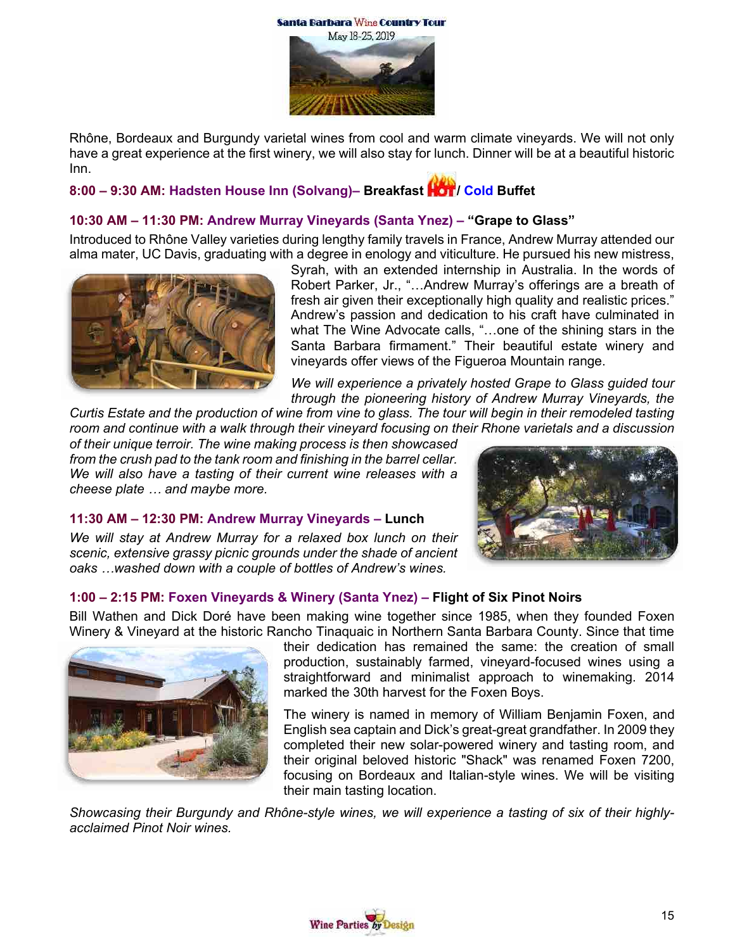Santa Barbara Wine Country Tour



Rhône, Bordeaux and Burgundy varietal wines from cool and warm climate vineyards. We will not only have a great experience at the first winery, we will also stay for lunch. Dinner will be at a beautiful historic Inn.

# **8:00 – 9:30 AM: Hadsten House Inn (Solvang)– Breakfast / Cold Buffet**

# **10:30 AM – 11:30 PM: Andrew Murray Vineyards (Santa Ynez) – "Grape to Glass"**

Introduced to Rhône Valley varieties during lengthy family travels in France, Andrew Murray attended our alma mater, UC Davis, graduating with a degree in enology and viticulture. He pursued his new mistress,



Syrah, with an extended internship in Australia. In the words of Robert Parker, Jr., "…Andrew Murray's offerings are a breath of fresh air given their exceptionally high quality and realistic prices." Andrew's passion and dedication to his craft have culminated in what The Wine Advocate calls, "...one of the shining stars in the Santa Barbara firmament." Their beautiful estate winery and vineyards offer views of the Figueroa Mountain range.

*We will experience a privately hosted Grape to Glass guided tour through the pioneering history of Andrew Murray Vineyards, the* 

*Curtis Estate and the production of wine from vine to glass. The tour will begin in their remodeled tasting room and continue with a walk through their vineyard focusing on their Rhone varietals and a discussion* 

*of their unique terroir. The wine making process is then showcased from the crush pad to the tank room and finishing in the barrel cellar. We will also have a tasting of their current wine releases with a cheese plate … and maybe more.*

**11:30 AM – 12:30 PM: Andrew Murray Vineyards – Lunch**

*We will stay at Andrew Murray for a relaxed box lunch on their scenic, extensive grassy picnic grounds under the shade of ancient oaks …washed down with a couple of bottles of Andrew's wines.*



# **1:00 – 2:15 PM: Foxen Vineyards & Winery (Santa Ynez) – Flight of Six Pinot Noirs**

Bill Wathen and Dick Doré have been making wine together since 1985, when they founded Foxen Winery & Vineyard at the historic Rancho Tinaquaic in Northern Santa Barbara County. Since that time



their dedication has remained the same: the creation of small production, sustainably farmed, vineyard-focused wines using a straightforward and minimalist approach to winemaking. 2014 marked the 30th harvest for the Foxen Boys.

The winery is named in memory of William Benjamin Foxen, and English sea captain and Dick's great-great grandfather. In 2009 they completed their new solar-powered winery and tasting room, and their original beloved historic "Shack" was renamed Foxen 7200, focusing on Bordeaux and Italian-style wines. We will be visiting their main tasting location.

*Showcasing their Burgundy and Rhône-style wines, we will experience a tasting of six of their highlyacclaimed Pinot Noir wines.*

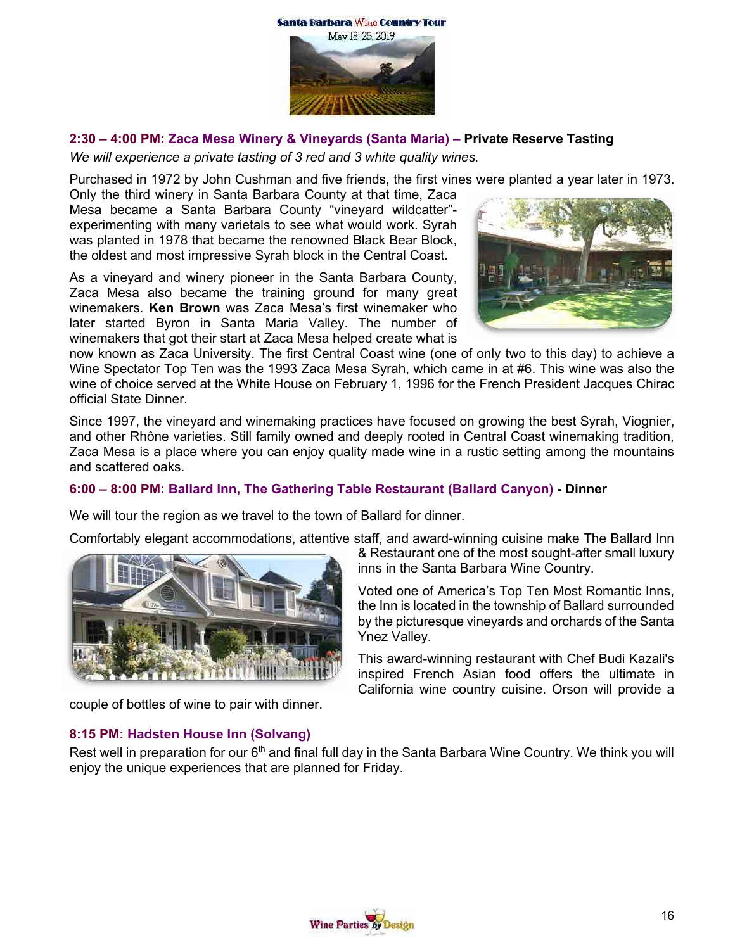



### **2:30 – 4:00 PM: Zaca Mesa Winery & Vineyards (Santa Maria) – Private Reserve Tasting**

*We will experience a private tasting of 3 red and 3 white quality wines.* 

Purchased in 1972 by John Cushman and five friends, the first vines were planted a year later in 1973.

Only the third winery in Santa Barbara County at that time, Zaca Mesa became a Santa Barbara County "vineyard wildcatter" experimenting with many varietals to see what would work. Syrah was planted in 1978 that became the renowned Black Bear Block, the oldest and most impressive Syrah block in the Central Coast.

As a vineyard and winery pioneer in the Santa Barbara County, Zaca Mesa also became the training ground for many great winemakers. **Ken Brown** was Zaca Mesa's first winemaker who later started Byron in Santa Maria Valley. The number of winemakers that got their start at Zaca Mesa helped create what is



now known as Zaca University. The first Central Coast wine (one of only two to this day) to achieve a Wine Spectator Top Ten was the 1993 Zaca Mesa Syrah, which came in at #6. This wine was also the wine of choice served at the White House on February 1, 1996 for the French President Jacques Chirac official State Dinner.

Since 1997, the vineyard and winemaking practices have focused on growing the best Syrah, Viognier, and other Rhône varieties. Still family owned and deeply rooted in Central Coast winemaking tradition, Zaca Mesa is a place where you can enjoy quality made wine in a rustic setting among the mountains and scattered oaks.

# **6:00 – 8:00 PM: Ballard Inn, The Gathering Table Restaurant (Ballard Canyon) - Dinner**

We will tour the region as we travel to the town of Ballard for dinner.

Comfortably elegant accommodations, attentive staff, and award-winning cuisine make The Ballard Inn



couple of bottles of wine to pair with dinner.

& Restaurant one of the most sought-after small luxury inns in the Santa Barbara Wine Country.

Voted one of America's Top Ten Most Romantic Inns, the Inn is located in the township of Ballard surrounded by the picturesque vineyards and orchards of the Santa Ynez Valley.

This award-winning restaurant with Chef Budi Kazali's inspired French Asian food offers the ultimate in California wine country cuisine. Orson will provide a

#### **8:15 PM: Hadsten House Inn (Solvang)**

Rest well in preparation for our 6<sup>th</sup> and final full day in the Santa Barbara Wine Country. We think you will enjoy the unique experiences that are planned for Friday.

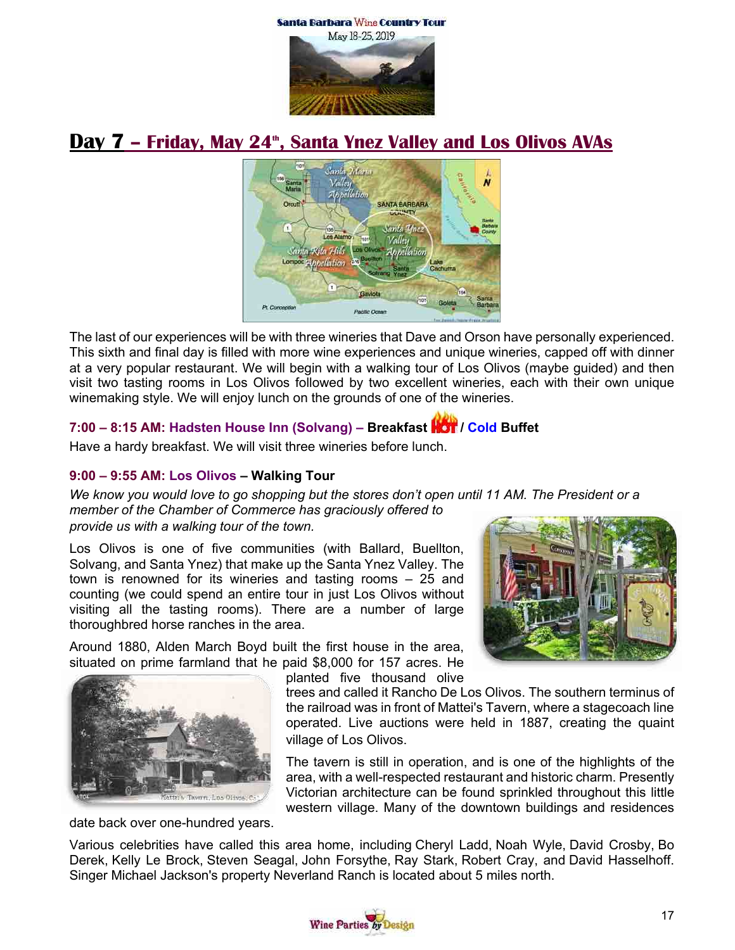



# **Day 7 - Friday, May 24<sup>th</sup>, Santa Ynez Valley and Los Olivos AVAs**



The last of our experiences will be with three wineries that Dave and Orson have personally experienced. This sixth and final day is filled with more wine experiences and unique wineries, capped off with dinner at a very popular restaurant. We will begin with a walking tour of Los Olivos (maybe guided) and then visit two tasting rooms in Los Olivos followed by two excellent wineries, each with their own unique winemaking style. We will enjoy lunch on the grounds of one of the wineries.

# **7:00 – 8:15 AM: Hadsten House Inn (Solvang) – Breakfast / Cold Buffet**

Have a hardy breakfast. We will visit three wineries before lunch.

# **9:00 – 9:55 AM: Los Olivos – Walking Tour**

*We know you would love to go shopping but the stores don't open until 11 AM. The President or a member of the Chamber of Commerce has graciously offered to*

#### *provide us with a walking tour of the town.*

Los Olivos is one of five communities (with Ballard, Buellton, Solvang, and Santa Ynez) that make up the Santa Ynez Valley. The town is renowned for its wineries and tasting rooms – 25 and counting (we could spend an entire tour in just Los Olivos without visiting all the tasting rooms). There are a number of large thoroughbred horse ranches in the area.

Around 1880, Alden March Boyd built the first house in the area, situated on prime farmland that he paid \$8,000 for 157 acres. He planted five thousand olive





trees and called it Rancho De Los Olivos. The southern terminus of the railroad was in front of Mattei's Tavern, where a stagecoach line operated. Live auctions were held in 1887, creating the quaint village of Los Olivos.

The tavern is still in operation, and is one of the highlights of the area, with a well-respected restaurant and historic charm. Presently Victorian architecture can be found sprinkled throughout this little western village. Many of the downtown buildings and residences

date back over one-hundred years.

Various celebrities have called this area home, including Cheryl Ladd, Noah Wyle, David Crosby, Bo Derek, Kelly Le Brock, Steven Seagal, John Forsythe, Ray Stark, Robert Cray, and David Hasselhoff. Singer Michael Jackson's property Neverland Ranch is located about 5 miles north.

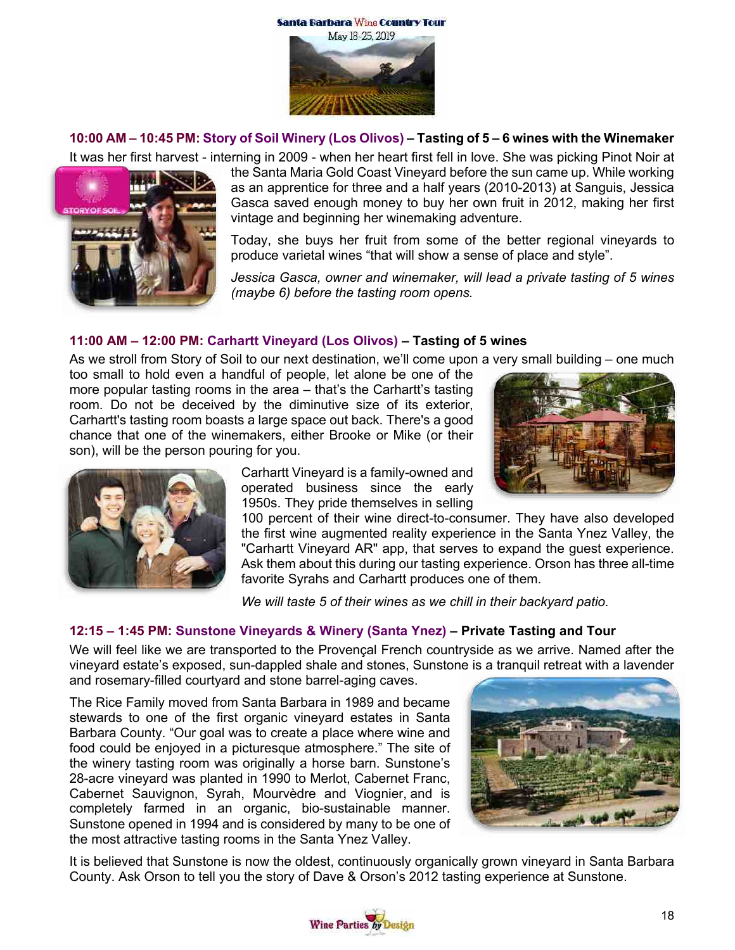



#### **10:00 AM – 10:45 PM: Story of Soil Winery (Los Olivos) – Tasting of 5 – 6 wines with the Winemaker**

It was her first harvest - interning in 2009 - when her heart first fell in love. She was picking Pinot Noir at



the Santa Maria Gold Coast Vineyard before the sun came up. While working as an apprentice for three and a half years (2010-2013) at Sanguis, Jessica Gasca saved enough money to buy her own fruit in 2012, making her first vintage and beginning her winemaking adventure.

Today, she buys her fruit from some of the better regional vineyards to produce varietal wines "that will show a sense of place and style".

*Jessica Gasca, owner and winemaker, will lead a private tasting of 5 wines (maybe 6) before the tasting room opens.*

#### **11:00 AM – 12:00 PM: Carhartt Vineyard (Los Olivos) – Tasting of 5 wines**

As we stroll from Story of Soil to our next destination, we'll come upon a very small building – one much

too small to hold even a handful of people, let alone be one of the more popular tasting rooms in the area – that's the Carhartt's tasting room. Do not be deceived by the diminutive size of its exterior, Carhartt's tasting room boasts a large space out back. There's a good chance that one of the winemakers, either Brooke or Mike (or their son), will be the person pouring for you.





Carhartt Vineyard is a family-owned and operated business since the early 1950s. They pride themselves in selling

100 percent of their wine direct-to-consumer. They have also developed the first wine augmented reality experience in the Santa Ynez Valley, the "Carhartt Vineyard AR" app, that serves to expand the guest experience. Ask them about this during our tasting experience. Orson has three all-time favorite Syrahs and Carhartt produces one of them.

*We will taste 5 of their wines as we chill in their backyard patio.*

# **12:15 – 1:45 PM: Sunstone Vineyards & Winery (Santa Ynez) – Private Tasting and Tour**

We will feel like we are transported to the Provençal French countryside as we arrive. Named after the vineyard estate's exposed, sun-dappled shale and stones, Sunstone is a tranquil retreat with a lavender and rosemary-filled courtyard and stone barrel-aging caves.

The Rice Family moved from Santa Barbara in 1989 and became stewards to one of the first organic vineyard estates in Santa Barbara County. "Our goal was to create a place where wine and food could be enjoyed in a picturesque atmosphere." The site of the winery tasting room was originally a horse barn. Sunstone's 28-acre vineyard was planted in 1990 to Merlot, Cabernet Franc, Cabernet Sauvignon, Syrah, Mourvèdre and Viognier, and is completely farmed in an organic, bio-sustainable manner. Sunstone opened in 1994 and is considered by many to be one of the most attractive tasting rooms in the Santa Ynez Valley.



It is believed that Sunstone is now the oldest, continuously organically grown vineyard in Santa Barbara County. Ask Orson to tell you the story of Dave & Orson's 2012 tasting experience at Sunstone.

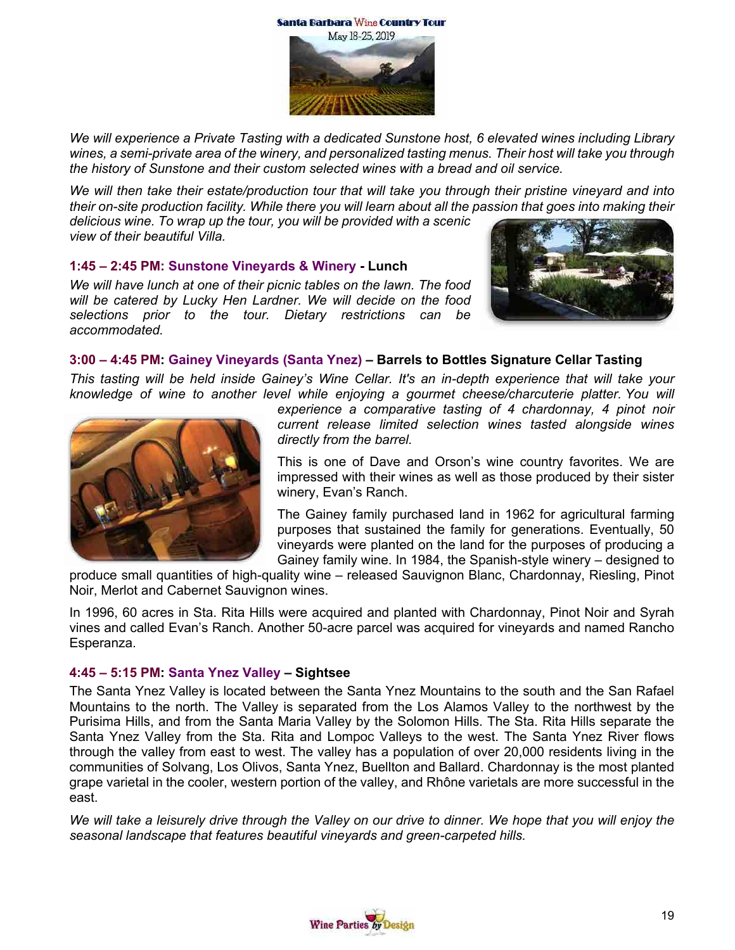

*We will experience a Private Tasting with a dedicated Sunstone host, 6 elevated wines including Library wines, a semi-private area of the winery, and personalized tasting menus. Their host will take you through the history of Sunstone and their custom selected wines with a bread and oil service.*

*We will then take their estate/production tour that will take you through their pristine vineyard and into their on-site production facility. While there you will learn about all the passion that goes into making their* 

*delicious wine. To wrap up the tour, you will be provided with a scenic view of their beautiful Villa.* 

#### **1:45 – 2:45 PM: Sunstone Vineyards & Winery - Lunch**

*We will have lunch at one of their picnic tables on the lawn. The food will be catered by Lucky Hen Lardner. We will decide on the food selections prior to the tour. Dietary restrictions can be accommodated.* 



#### **3:00 – 4:45 PM: Gainey Vineyards (Santa Ynez) – Barrels to Bottles Signature Cellar Tasting**

*This tasting will be held inside Gainey's Wine Cellar. It's an in-depth experience that will take your knowledge of wine to another level while enjoying a gourmet cheese/charcuterie platter. You will* 



*experience a comparative tasting of 4 chardonnay, 4 pinot noir current release limited selection wines tasted alongside wines directly from the barrel.*

This is one of Dave and Orson's wine country favorites. We are impressed with their wines as well as those produced by their sister winery, Evan's Ranch.

The Gainey family purchased land in 1962 for agricultural farming purposes that sustained the family for generations. Eventually, 50 vineyards were planted on the land for the purposes of producing a Gainey family wine. In 1984, the Spanish-style winery – designed to

produce small quantities of high-quality wine – released Sauvignon Blanc, Chardonnay, Riesling, Pinot Noir, Merlot and Cabernet Sauvignon wines.

In 1996, 60 acres in Sta. Rita Hills were acquired and planted with Chardonnay, Pinot Noir and Syrah vines and called Evan's Ranch. Another 50-acre parcel was acquired for vineyards and named Rancho Esperanza.

#### **4:45 – 5:15 PM: Santa Ynez Valley – Sightsee**

The Santa Ynez Valley is located between the Santa Ynez Mountains to the south and the San Rafael Mountains to the north. The Valley is separated from the Los Alamos Valley to the northwest by the Purisima Hills, and from the Santa Maria Valley by the Solomon Hills. The Sta. Rita Hills separate the Santa Ynez Valley from the Sta. Rita and Lompoc Valleys to the west. The Santa Ynez River flows through the valley from east to west. The valley has a population of over 20,000 residents living in the communities of Solvang, Los Olivos, Santa Ynez, Buellton and Ballard. Chardonnay is the most planted grape varietal in the cooler, western portion of the valley, and Rhône varietals are more successful in the east.

*We will take a leisurely drive through the Valley on our drive to dinner. We hope that you will enjoy the seasonal landscape that features beautiful vineyards and green-carpeted hills.*

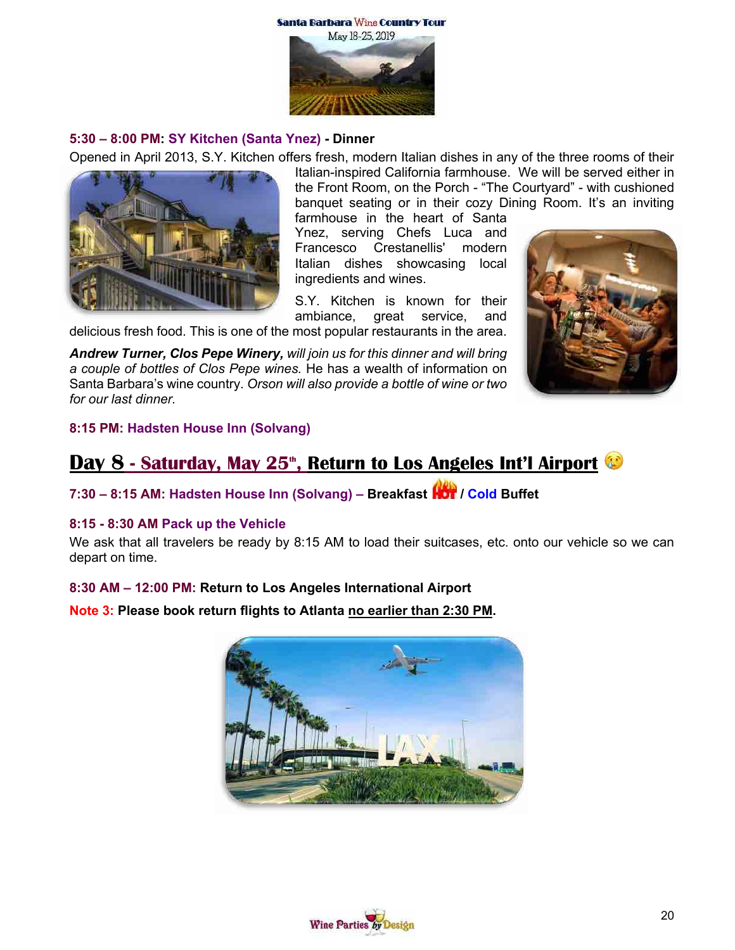

#### **5:30 – 8:00 PM: SY Kitchen (Santa Ynez) - Dinner**

Opened in April 2013, S.Y. Kitchen offers fresh, modern Italian dishes in any of the three rooms of their



Italian-inspired California farmhouse. We will be served either in the Front Room, on the Porch - "The Courtyard" - with cushioned banquet seating or in their cozy Dining Room. It's an inviting farmhouse in the heart of Santa

Ynez, serving Chefs Luca and Francesco Crestanellis' modern Italian dishes showcasing local ingredients and wines.

S.Y. Kitchen is known for their ambiance, great service, and

delicious fresh food. This is one of the most popular restaurants in the area.

*Andrew Turner, Clos Pepe Winery, will join us for this dinner and will bring a couple of bottles of Clos Pepe wines.* He has a wealth of information on Santa Barbara's wine country. *Orson will also provide a bottle of wine or two for our last dinner.*



#### **8:15 PM: Hadsten House Inn (Solvang)**

# **Day 8 - Saturday, May 25<sup>th</sup>, Return to Los Angeles Int'l Airport<sup>e</sup>**

**7:30 – 8:15 AM: Hadsten House Inn (Solvang) – Breakfast / Cold Buffet**

#### **8:15 - 8:30 AM Pack up the Vehicle**

We ask that all travelers be ready by 8:15 AM to load their suitcases, etc. onto our vehicle so we can depart on time.

#### **8:30 AM – 12:00 PM: Return to Los Angeles International Airport**

**Note 3: Please book return flights to Atlanta no earlier than 2:30 PM.**



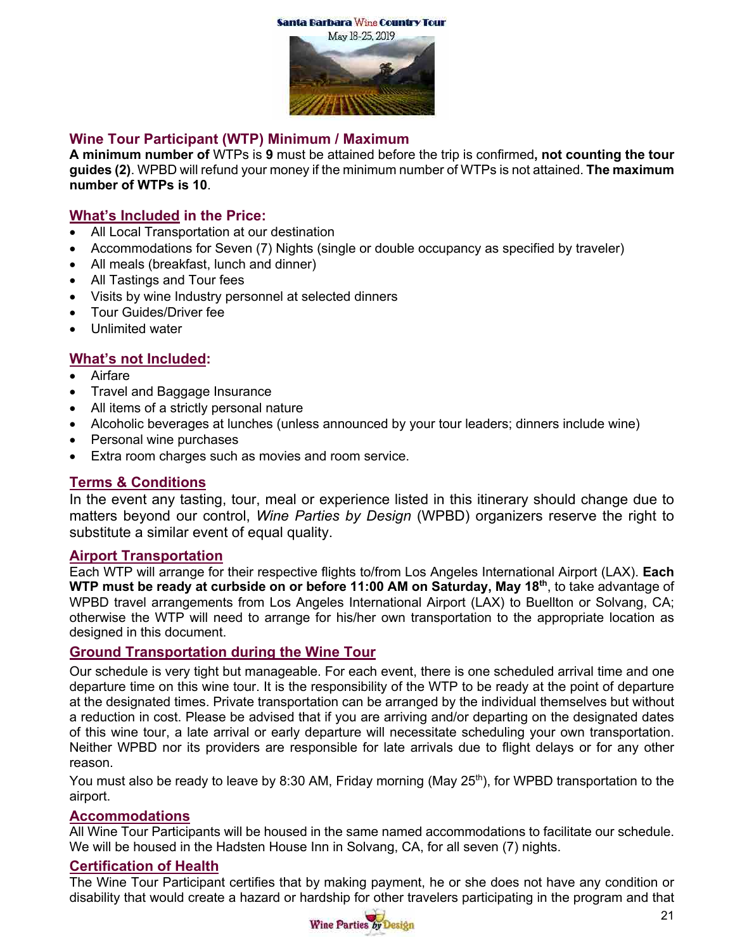



# **Wine Tour Participant (WTP) Minimum / Maximum**

**A minimum number of** WTPs is **9** must be attained before the trip is confirmed**, not counting the tour guides (2)**. WPBD will refund your money if the minimum number of WTPs is not attained. **The maximum number of WTPs is 10**.

# **What's Included in the Price:**

- All Local Transportation at our destination
- Accommodations for Seven (7) Nights (single or double occupancy as specified by traveler)
- All meals (breakfast, lunch and dinner)
- All Tastings and Tour fees
- Visits by wine Industry personnel at selected dinners
- Tour Guides/Driver fee
- Unlimited water

# **What's not Included:**

- **Airfare**
- Travel and Baggage Insurance
- All items of a strictly personal nature
- Alcoholic beverages at lunches (unless announced by your tour leaders; dinners include wine)
- Personal wine purchases
- Extra room charges such as movies and room service.

# **Terms & Conditions**

In the event any tasting, tour, meal or experience listed in this itinerary should change due to matters beyond our control, *Wine Parties by Design* (WPBD) organizers reserve the right to substitute a similar event of equal quality.

#### **Airport Transportation**

Each WTP will arrange for their respective flights to/from Los Angeles International Airport (LAX). **Each WTP must be ready at curbside on or before 11:00 AM on Saturday, May 18th**, to take advantage of WPBD travel arrangements from Los Angeles International Airport (LAX) to Buellton or Solvang, CA; otherwise the WTP will need to arrange for his/her own transportation to the appropriate location as designed in this document.

# **Ground Transportation during the Wine Tour**

Our schedule is very tight but manageable. For each event, there is one scheduled arrival time and one departure time on this wine tour. It is the responsibility of the WTP to be ready at the point of departure at the designated times. Private transportation can be arranged by the individual themselves but without a reduction in cost. Please be advised that if you are arriving and/or departing on the designated dates of this wine tour, a late arrival or early departure will necessitate scheduling your own transportation. Neither WPBD nor its providers are responsible for late arrivals due to flight delays or for any other reason.

You must also be ready to leave by 8:30 AM, Friday morning (May 25<sup>th</sup>), for WPBD transportation to the airport.

#### **Accommodations**

All Wine Tour Participants will be housed in the same named accommodations to facilitate our schedule. We will be housed in the Hadsten House Inn in Solvang, CA, for all seven (7) nights.

#### **Certification of Health**

The Wine Tour Participant certifies that by making payment, he or she does not have any condition or disability that would create a hazard or hardship for other travelers participating in the program and that

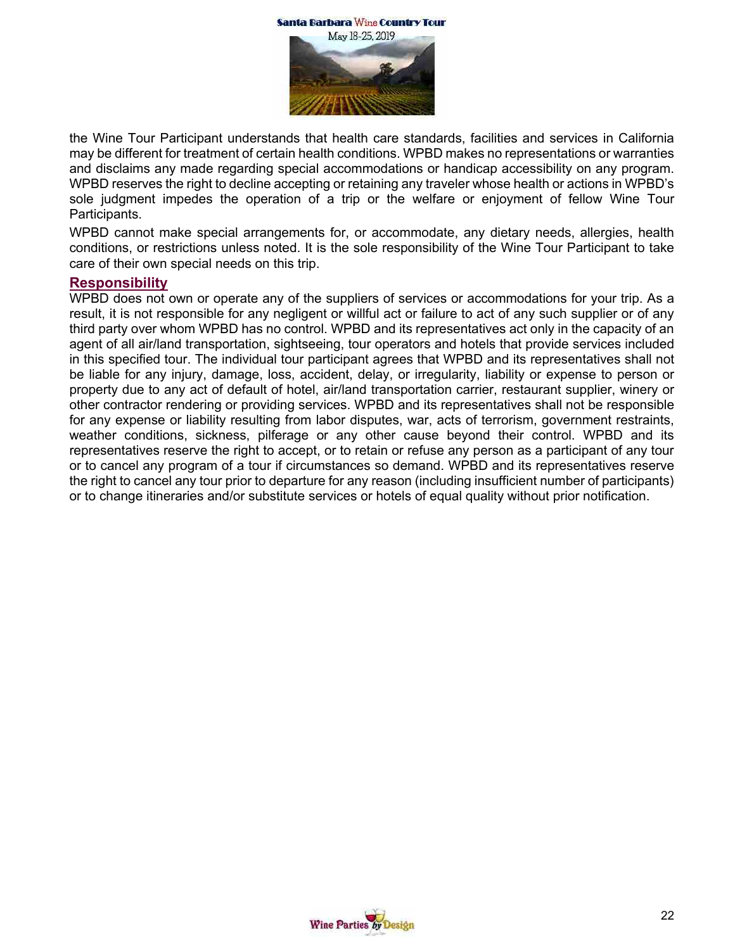



the Wine Tour Participant understands that health care standards, facilities and services in California may be different for treatment of certain health conditions. WPBD makes no representations or warranties and disclaims any made regarding special accommodations or handicap accessibility on any program. WPBD reserves the right to decline accepting or retaining any traveler whose health or actions in WPBD's sole judgment impedes the operation of a trip or the welfare or enjoyment of fellow Wine Tour Participants.

WPBD cannot make special arrangements for, or accommodate, any dietary needs, allergies, health conditions, or restrictions unless noted. It is the sole responsibility of the Wine Tour Participant to take care of their own special needs on this trip.

#### **Responsibility**

WPBD does not own or operate any of the suppliers of services or accommodations for your trip. As a result, it is not responsible for any negligent or willful act or failure to act of any such supplier or of any third party over whom WPBD has no control. WPBD and its representatives act only in the capacity of an agent of all air/land transportation, sightseeing, tour operators and hotels that provide services included in this specified tour. The individual tour participant agrees that WPBD and its representatives shall not be liable for any injury, damage, loss, accident, delay, or irregularity, liability or expense to person or property due to any act of default of hotel, air/land transportation carrier, restaurant supplier, winery or other contractor rendering or providing services. WPBD and its representatives shall not be responsible for any expense or liability resulting from labor disputes, war, acts of terrorism, government restraints, weather conditions, sickness, pilferage or any other cause beyond their control. WPBD and its representatives reserve the right to accept, or to retain or refuse any person as a participant of any tour or to cancel any program of a tour if circumstances so demand. WPBD and its representatives reserve the right to cancel any tour prior to departure for any reason (including insufficient number of participants) or to change itineraries and/or substitute services or hotels of equal quality without prior notification.